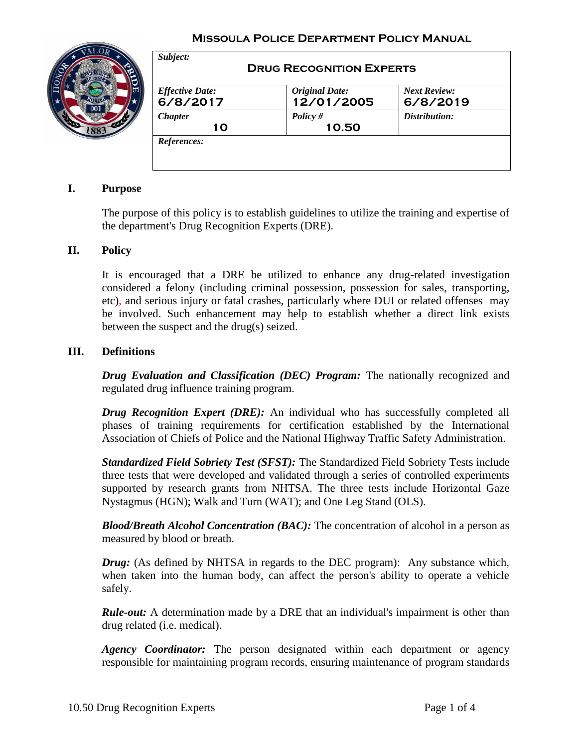### **Missoula Police Department Policy Manual**



| <b>Effective Date:</b> | <b>Original Date:</b> | <b>Next Review:</b> |
|------------------------|-----------------------|---------------------|
| 6/8/2017               | 12/01/2005            | 6/8/2019            |
| <b>Chapter</b>         | Policy #              | Distribution:       |
| 10                     | 10.50                 |                     |

## **I. Purpose**

The purpose of this policy is to establish guidelines to utilize the training and expertise of the department's Drug Recognition Experts (DRE).

### **II. Policy**

It is encouraged that a DRE be utilized to enhance any drug-related investigation considered a felony (including criminal possession, possession for sales, transporting, etc), and serious injury or fatal crashes, particularly where DUI or related offenses may be involved. Such enhancement may help to establish whether a direct link exists between the suspect and the drug(s) seized.

#### **III. Definitions**

*Drug Evaluation and Classification (DEC) Program:* The nationally recognized and regulated drug influence training program.

*Drug Recognition Expert (DRE)*: An individual who has successfully completed all phases of training requirements for certification established by the International Association of Chiefs of Police and the National Highway Traffic Safety Administration.

*Standardized Field Sobriety Test (SFST):* The Standardized Field Sobriety Tests include three tests that were developed and validated through a series of controlled experiments supported by research grants from NHTSA. The three tests include Horizontal Gaze Nystagmus (HGN); Walk and Turn (WAT); and One Leg Stand (OLS).

*Blood/Breath Alcohol Concentration (BAC):* The concentration of alcohol in a person as measured by blood or breath.

*Drug:* (As defined by NHTSA in regards to the DEC program): Any substance which, when taken into the human body, can affect the person's ability to operate a vehicle safely.

*Rule-out:* A determination made by a DRE that an individual's impairment is other than drug related (i.e. medical).

*Agency Coordinator:* The person designated within each department or agency responsible for maintaining program records, ensuring maintenance of program standards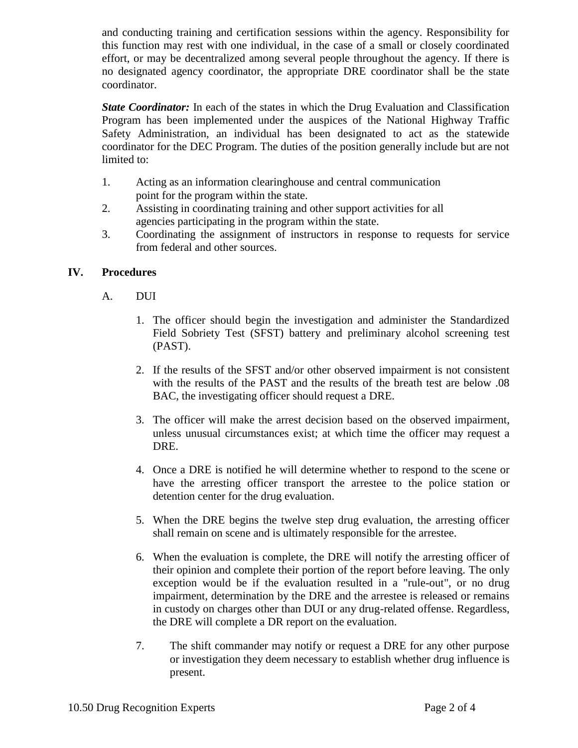and conducting training and certification sessions within the agency. Responsibility for this function may rest with one individual, in the case of a small or closely coordinated effort, or may be decentralized among several people throughout the agency. If there is no designated agency coordinator, the appropriate DRE coordinator shall be the state coordinator.

*State Coordinator:* In each of the states in which the Drug Evaluation and Classification Program has been implemented under the auspices of the National Highway Traffic Safety Administration, an individual has been designated to act as the statewide coordinator for the DEC Program. The duties of the position generally include but are not limited to:

- 1. Acting as an information clearinghouse and central communication point for the program within the state.
- 2. Assisting in coordinating training and other support activities for all agencies participating in the program within the state.
- 3. Coordinating the assignment of instructors in response to requests for service from federal and other sources.

# **IV. Procedures**

- A. DUI
	- 1. The officer should begin the investigation and administer the Standardized Field Sobriety Test (SFST) battery and preliminary alcohol screening test (PAST).
	- 2. If the results of the SFST and/or other observed impairment is not consistent with the results of the PAST and the results of the breath test are below .08 BAC, the investigating officer should request a DRE.
	- 3. The officer will make the arrest decision based on the observed impairment, unless unusual circumstances exist; at which time the officer may request a DRE.
	- 4. Once a DRE is notified he will determine whether to respond to the scene or have the arresting officer transport the arrestee to the police station or detention center for the drug evaluation.
	- 5. When the DRE begins the twelve step drug evaluation, the arresting officer shall remain on scene and is ultimately responsible for the arrestee.
	- 6. When the evaluation is complete, the DRE will notify the arresting officer of their opinion and complete their portion of the report before leaving. The only exception would be if the evaluation resulted in a "rule-out", or no drug impairment, determination by the DRE and the arrestee is released or remains in custody on charges other than DUI or any drug-related offense. Regardless, the DRE will complete a DR report on the evaluation.
	- 7. The shift commander may notify or request a DRE for any other purpose or investigation they deem necessary to establish whether drug influence is present.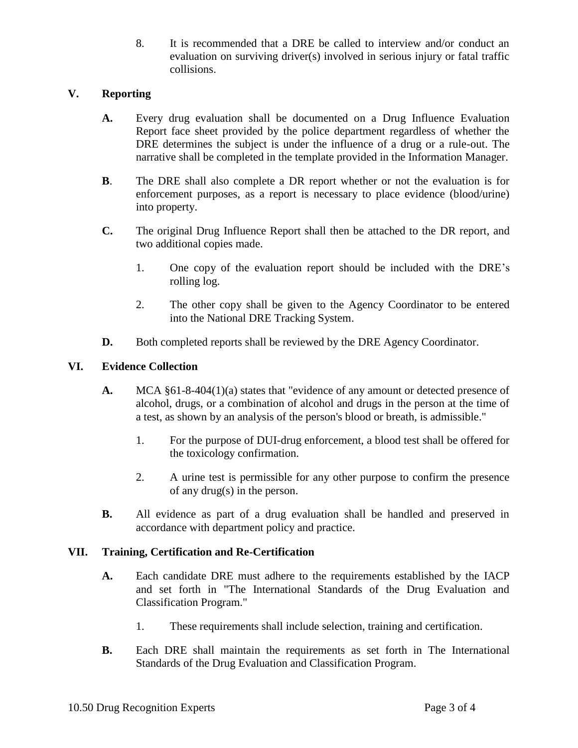8. It is recommended that a DRE be called to interview and/or conduct an evaluation on surviving driver(s) involved in serious injury or fatal traffic collisions.

# **V. Reporting**

- **A.** Every drug evaluation shall be documented on a Drug Influence Evaluation Report face sheet provided by the police department regardless of whether the DRE determines the subject is under the influence of a drug or a rule-out. The narrative shall be completed in the template provided in the Information Manager.
- **B**. The DRE shall also complete a DR report whether or not the evaluation is for enforcement purposes, as a report is necessary to place evidence (blood/urine) into property.
- **C.** The original Drug Influence Report shall then be attached to the DR report, and two additional copies made.
	- 1. One copy of the evaluation report should be included with the DRE's rolling log.
	- 2. The other copy shall be given to the Agency Coordinator to be entered into the National DRE Tracking System.
- **D.** Both completed reports shall be reviewed by the DRE Agency Coordinator.

## **VI. Evidence Collection**

- **A.** MCA §61-8-404(1)(a) states that "evidence of any amount or detected presence of alcohol, drugs, or a combination of alcohol and drugs in the person at the time of a test, as shown by an analysis of the person's blood or breath, is admissible."
	- 1. For the purpose of DUI-drug enforcement, a blood test shall be offered for the toxicology confirmation.
	- 2. A urine test is permissible for any other purpose to confirm the presence of any drug(s) in the person.
- **B.** All evidence as part of a drug evaluation shall be handled and preserved in accordance with department policy and practice.

## **VII. Training, Certification and Re-Certification**

- **A.** Each candidate DRE must adhere to the requirements established by the IACP and set forth in "The International Standards of the Drug Evaluation and Classification Program."
	- 1. These requirements shall include selection, training and certification.
- **B.** Each DRE shall maintain the requirements as set forth in The International Standards of the Drug Evaluation and Classification Program.